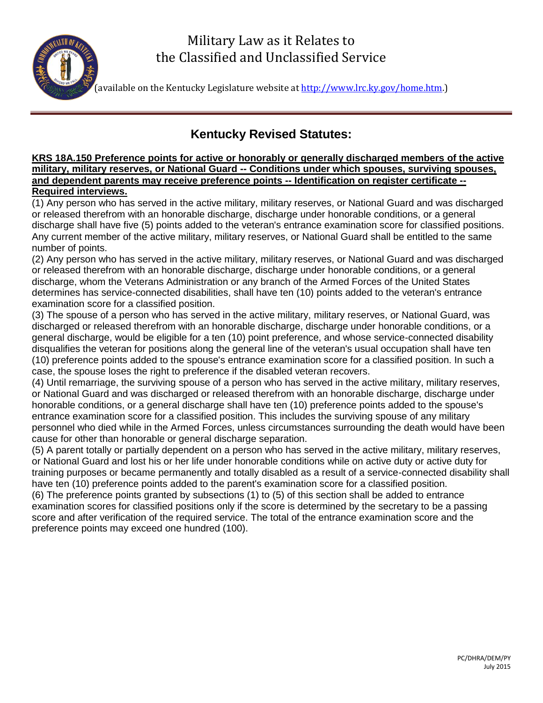# Military Law as it Relates to the Classified and Unclassified Service



(available on the Kentucky Legislature website at [http://www.lrc.ky.gov/home.htm.](http://www.lrc.ky.gov/home.htm))

# **Kentucky Revised Statutes:**

#### **KRS 18A.150 Preference points for active or honorably or generally discharged members of the active military, military reserves, or National Guard -- Conditions under which spouses, surviving spouses, and dependent parents may receive preference points -- Identification on register certificate -- Required interviews.**

(1) Any person who has served in the active military, military reserves, or National Guard and was discharged or released therefrom with an honorable discharge, discharge under honorable conditions, or a general discharge shall have five (5) points added to the veteran's entrance examination score for classified positions. Any current member of the active military, military reserves, or National Guard shall be entitled to the same number of points.

(2) Any person who has served in the active military, military reserves, or National Guard and was discharged or released therefrom with an honorable discharge, discharge under honorable conditions, or a general discharge, whom the Veterans Administration or any branch of the Armed Forces of the United States determines has service-connected disabilities, shall have ten (10) points added to the veteran's entrance examination score for a classified position.

(3) The spouse of a person who has served in the active military, military reserves, or National Guard, was discharged or released therefrom with an honorable discharge, discharge under honorable conditions, or a general discharge, would be eligible for a ten (10) point preference, and whose service-connected disability disqualifies the veteran for positions along the general line of the veteran's usual occupation shall have ten (10) preference points added to the spouse's entrance examination score for a classified position. In such a case, the spouse loses the right to preference if the disabled veteran recovers.

(4) Until remarriage, the surviving spouse of a person who has served in the active military, military reserves, or National Guard and was discharged or released therefrom with an honorable discharge, discharge under honorable conditions, or a general discharge shall have ten (10) preference points added to the spouse's entrance examination score for a classified position. This includes the surviving spouse of any military personnel who died while in the Armed Forces, unless circumstances surrounding the death would have been cause for other than honorable or general discharge separation.

(5) A parent totally or partially dependent on a person who has served in the active military, military reserves, or National Guard and lost his or her life under honorable conditions while on active duty or active duty for training purposes or became permanently and totally disabled as a result of a service-connected disability shall have ten (10) preference points added to the parent's examination score for a classified position. (6) The preference points granted by subsections (1) to (5) of this section shall be added to entrance examination scores for classified positions only if the score is determined by the secretary to be a passing score and after verification of the required service. The total of the entrance examination score and the preference points may exceed one hundred (100).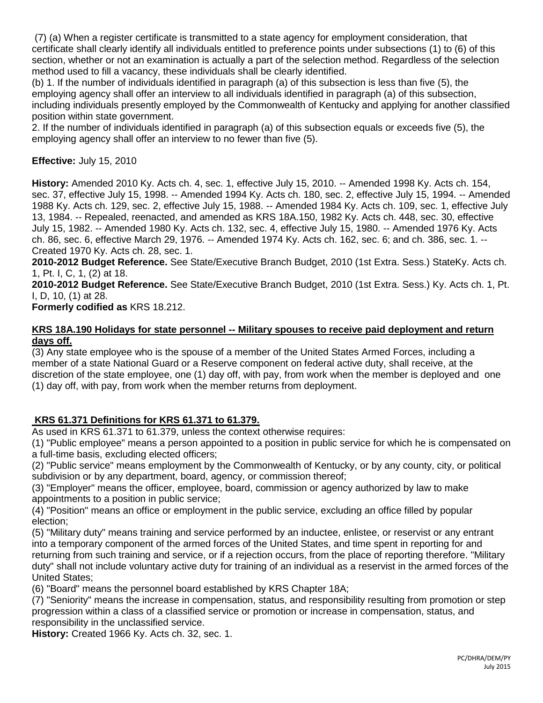(7) (a) When a register certificate is transmitted to a state agency for employment consideration, that certificate shall clearly identify all individuals entitled to preference points under subsections (1) to (6) of this section, whether or not an examination is actually a part of the selection method. Regardless of the selection method used to fill a vacancy, these individuals shall be clearly identified.

(b) 1. If the number of individuals identified in paragraph (a) of this subsection is less than five (5), the employing agency shall offer an interview to all individuals identified in paragraph (a) of this subsection, including individuals presently employed by the Commonwealth of Kentucky and applying for another classified position within state government.

2. If the number of individuals identified in paragraph (a) of this subsection equals or exceeds five (5), the employing agency shall offer an interview to no fewer than five (5).

# **Effective:** July 15, 2010

**History:** Amended 2010 Ky. Acts ch. 4, sec. 1, effective July 15, 2010. -- Amended 1998 Ky. Acts ch. 154, sec. 37, effective July 15, 1998. -- Amended 1994 Ky. Acts ch. 180, sec. 2, effective July 15, 1994. -- Amended 1988 Ky. Acts ch. 129, sec. 2, effective July 15, 1988. -- Amended 1984 Ky. Acts ch. 109, sec. 1, effective July 13, 1984. -- Repealed, reenacted, and amended as KRS 18A.150, 1982 Ky. Acts ch. 448, sec. 30, effective July 15, 1982. -- Amended 1980 Ky. Acts ch. 132, sec. 4, effective July 15, 1980. -- Amended 1976 Ky. Acts ch. 86, sec. 6, effective March 29, 1976. -- Amended 1974 Ky. Acts ch. 162, sec. 6; and ch. 386, sec. 1. -- Created 1970 Ky. Acts ch. 28, sec. 1.

**2010-2012 Budget Reference.** See State/Executive Branch Budget, 2010 (1st Extra. Sess.) StateKy. Acts ch. 1, Pt. I, C, 1, (2) at 18.

**2010-2012 Budget Reference.** See State/Executive Branch Budget, 2010 (1st Extra. Sess.) Ky. Acts ch. 1, Pt. I, D, 10, (1) at 28.

**Formerly codified as** KRS 18.212.

#### **KRS 18A.190 Holidays for state personnel -- Military spouses to receive paid deployment and return days off.**

(3) Any state employee who is the spouse of a member of the United States Armed Forces, including a member of a state National Guard or a Reserve component on federal active duty, shall receive, at the discretion of the state employee, one (1) day off, with pay, from work when the member is deployed and one (1) day off, with pay, from work when the member returns from deployment.

# **KRS 61.371 Definitions for KRS 61.371 to 61.379.**

As used in KRS 61.371 to 61.379, unless the context otherwise requires:

(1) "Public employee" means a person appointed to a position in public service for which he is compensated on a full-time basis, excluding elected officers;

(2) "Public service" means employment by the Commonwealth of Kentucky, or by any county, city, or political subdivision or by any department, board, agency, or commission thereof;

(3) "Employer" means the officer, employee, board, commission or agency authorized by law to make appointments to a position in public service;

(4) "Position" means an office or employment in the public service, excluding an office filled by popular election;

(5) "Military duty" means training and service performed by an inductee, enlistee, or reservist or any entrant into a temporary component of the armed forces of the United States, and time spent in reporting for and returning from such training and service, or if a rejection occurs, from the place of reporting therefore. "Military duty" shall not include voluntary active duty for training of an individual as a reservist in the armed forces of the United States;

(6) "Board" means the personnel board established by KRS Chapter 18A;

(7) "Seniority" means the increase in compensation, status, and responsibility resulting from promotion or step progression within a class of a classified service or promotion or increase in compensation, status, and responsibility in the unclassified service.

**History:** Created 1966 Ky. Acts ch. 32, sec. 1.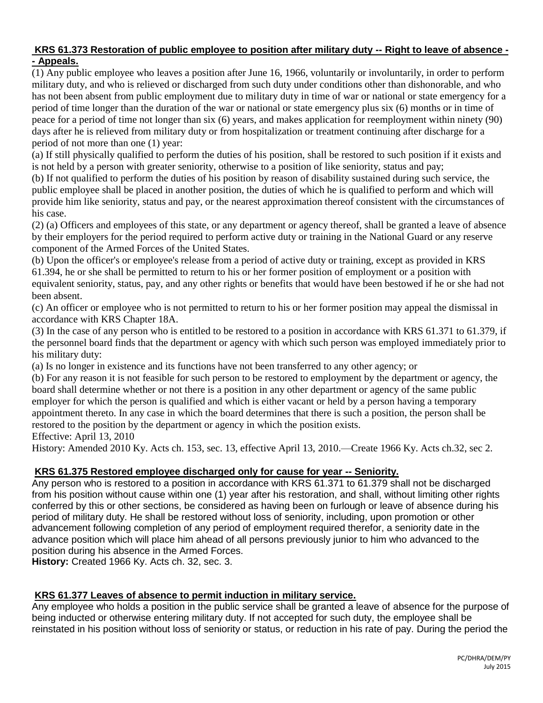#### **KRS 61.373 Restoration of public employee to position after military duty -- Right to leave of absence - - Appeals.**

(1) Any public employee who leaves a position after June 16, 1966, voluntarily or involuntarily, in order to perform military duty, and who is relieved or discharged from such duty under conditions other than dishonorable, and who has not been absent from public employment due to military duty in time of war or national or state emergency for a period of time longer than the duration of the war or national or state emergency plus six (6) months or in time of peace for a period of time not longer than six (6) years, and makes application for reemployment within ninety (90) days after he is relieved from military duty or from hospitalization or treatment continuing after discharge for a period of not more than one (1) year:

(a) If still physically qualified to perform the duties of his position, shall be restored to such position if it exists and is not held by a person with greater seniority, otherwise to a position of like seniority, status and pay;

(b) If not qualified to perform the duties of his position by reason of disability sustained during such service, the public employee shall be placed in another position, the duties of which he is qualified to perform and which will provide him like seniority, status and pay, or the nearest approximation thereof consistent with the circumstances of his case.

(2) (a) Officers and employees of this state, or any department or agency thereof, shall be granted a leave of absence by their employers for the period required to perform active duty or training in the National Guard or any reserve component of the Armed Forces of the United States.

(b) Upon the officer's or employee's release from a period of active duty or training, except as provided in KRS 61.394, he or she shall be permitted to return to his or her former position of employment or a position with equivalent seniority, status, pay, and any other rights or benefits that would have been bestowed if he or she had not been absent.

(c) An officer or employee who is not permitted to return to his or her former position may appeal the dismissal in accordance with KRS Chapter 18A.

(3) In the case of any person who is entitled to be restored to a position in accordance with KRS 61.371 to 61.379, if the personnel board finds that the department or agency with which such person was employed immediately prior to his military duty:

(a) Is no longer in existence and its functions have not been transferred to any other agency; or

(b) For any reason it is not feasible for such person to be restored to employment by the department or agency, the board shall determine whether or not there is a position in any other department or agency of the same public employer for which the person is qualified and which is either vacant or held by a person having a temporary appointment thereto. In any case in which the board determines that there is such a position, the person shall be restored to the position by the department or agency in which the position exists. Effective: April 13, 2010

History: Amended 2010 Ky. Acts ch. 153, sec. 13, effective April 13, 2010.—Create 1966 Ky. Acts ch.32, sec 2.

# **KRS 61.375 Restored employee discharged only for cause for year -- Seniority.**

Any person who is restored to a position in accordance with KRS 61.371 to 61.379 shall not be discharged from his position without cause within one (1) year after his restoration, and shall, without limiting other rights conferred by this or other sections, be considered as having been on furlough or leave of absence during his period of military duty. He shall be restored without loss of seniority, including, upon promotion or other advancement following completion of any period of employment required therefor, a seniority date in the advance position which will place him ahead of all persons previously junior to him who advanced to the position during his absence in the Armed Forces.

**History:** Created 1966 Ky. Acts ch. 32, sec. 3.

# **KRS 61.377 Leaves of absence to permit induction in military service.**

Any employee who holds a position in the public service shall be granted a leave of absence for the purpose of being inducted or otherwise entering military duty. If not accepted for such duty, the employee shall be reinstated in his position without loss of seniority or status, or reduction in his rate of pay. During the period the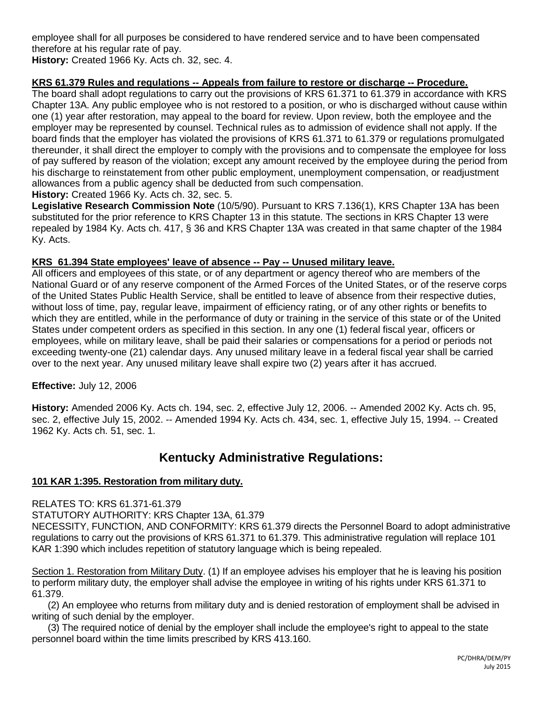employee shall for all purposes be considered to have rendered service and to have been compensated therefore at his regular rate of pay. **History:** Created 1966 Ky. Acts ch. 32, sec. 4.

# **KRS 61.379 Rules and regulations -- Appeals from failure to restore or discharge -- Procedure.**

The board shall adopt regulations to carry out the provisions of KRS 61.371 to 61.379 in accordance with KRS Chapter 13A. Any public employee who is not restored to a position, or who is discharged without cause within one (1) year after restoration, may appeal to the board for review. Upon review, both the employee and the employer may be represented by counsel. Technical rules as to admission of evidence shall not apply. If the board finds that the employer has violated the provisions of KRS 61.371 to 61.379 or regulations promulgated thereunder, it shall direct the employer to comply with the provisions and to compensate the employee for loss of pay suffered by reason of the violation; except any amount received by the employee during the period from his discharge to reinstatement from other public employment, unemployment compensation, or readjustment allowances from a public agency shall be deducted from such compensation.

**History:** Created 1966 Ky. Acts ch. 32, sec. 5.

**Legislative Research Commission Note** (10/5/90). Pursuant to KRS 7.136(1), KRS Chapter 13A has been substituted for the prior reference to KRS Chapter 13 in this statute. The sections in KRS Chapter 13 were repealed by 1984 Ky. Acts ch. 417, § 36 and KRS Chapter 13A was created in that same chapter of the 1984 Ky. Acts.

#### **KRS 61.394 State employees' leave of absence -- Pay -- Unused military leave.**

All officers and employees of this state, or of any department or agency thereof who are members of the National Guard or of any reserve component of the Armed Forces of the United States, or of the reserve corps of the United States Public Health Service, shall be entitled to leave of absence from their respective duties, without loss of time, pay, regular leave, impairment of efficiency rating, or of any other rights or benefits to which they are entitled, while in the performance of duty or training in the service of this state or of the United States under competent orders as specified in this section. In any one (1) federal fiscal year, officers or employees, while on military leave, shall be paid their salaries or compensations for a period or periods not exceeding twenty-one (21) calendar days. Any unused military leave in a federal fiscal year shall be carried over to the next year. Any unused military leave shall expire two (2) years after it has accrued.

### **Effective:** July 12, 2006

**History:** Amended 2006 Ky. Acts ch. 194, sec. 2, effective July 12, 2006. -- Amended 2002 Ky. Acts ch. 95, sec. 2, effective July 15, 2002. -- Amended 1994 Ky. Acts ch. 434, sec. 1, effective July 15, 1994. -- Created 1962 Ky. Acts ch. 51, sec. 1.

# **Kentucky Administrative Regulations:**

#### **101 KAR 1:395. Restoration from military duty.**

RELATES TO: KRS 61.371-61.379

STATUTORY AUTHORITY: KRS Chapter 13A, 61.379

NECESSITY, FUNCTION, AND CONFORMITY: KRS 61.379 directs the Personnel Board to adopt administrative regulations to carry out the provisions of KRS 61.371 to 61.379. This administrative regulation will replace 101 KAR 1:390 which includes repetition of statutory language which is being repealed.

Section 1. Restoration from Military Duty. (1) If an employee advises his employer that he is leaving his position to perform military duty, the employer shall advise the employee in writing of his rights under KRS 61.371 to 61.379.

 (2) An employee who returns from military duty and is denied restoration of employment shall be advised in writing of such denial by the employer.

 (3) The required notice of denial by the employer shall include the employee's right to appeal to the state personnel board within the time limits prescribed by KRS 413.160.